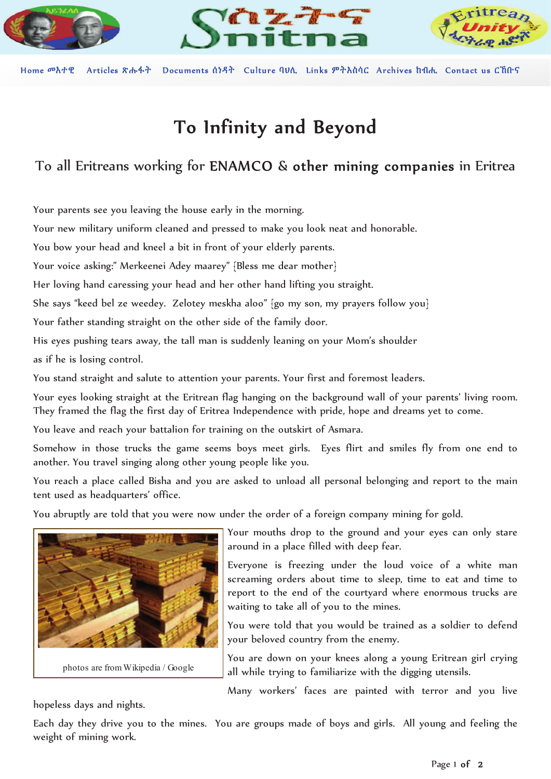

Home መእተዊ Articles ጽሑፋት Documents  $\hat{\mathfrak{d}}\hat{\mathfrak{d}}\hat{\mathfrak{d}}$  Culture  $\mathfrak{Q}\mathfrak{V}\hat{\mathfrak{d}}$ . Links  $\mathfrak{P}\hat{\mathfrak{d}}\hat{\mathfrak{h}}\hat{\mathfrak{q}}\hat{\mathfrak{c}}$ . Archives  $\mathfrak{h}\mathfrak{A}\hat{\mathfrak{h}}$ . Contact us  $\mathcal{C}\hat{\mathfrak{h}}\mathfrak{h}$ ff

# To Infinity and Beyond

## To all Eritreans working for ENAMCO & other mining companies in Eritrea

Your parents see you leaving the house early in the morning.

Your new military uniform cleaned and pressed to make you look neat and honorable.

You bow your head and kneel a bit in front of your elderly parents.

Your voice asking:" Merkeenei Adey maarey" {Bless me dear mother}

Her loving hand caressing your head and her other hand lifting you straight.

She says "keed bel ze weedey. Zelotey meskha aloo" {go my son, my prayers follow you}

Your father standing straight on the other side of the family door.

His eyes pushing tears away, the tall man is suddenly leaning on your Mom's shoulder

as if he is losing control.

You stand straight and salute to attention your parents. Your first and foremost leaders.

Your eyes looking straight at the Eritrean flag hanging on the background wall of your parents' living room. They framed the flag the first day of Eritrea Independence with pride, hope and dreams yet to come.

You leave and reach your battalion for training on the outskirt of Asmara.

Somehow in those trucks the game seems boys meet girls. Eyes flirt and smiles fly from one end to another. You travel singing along other young people like you.

You reach a place called Bisha and you are asked to unload all personal belonging and report to the main tent used as headquarters' office.

You abruptly are told that you were now under the order of a foreign company mining for gold.



Your mouths drop to the ground and your eyes can only stare around in a place filled with deep fear.

Everyone is freezing under the loud voice of a white man screaming orders about time to sleep, time to eat and time to report to the end of the courtyard where enormous trucks are waiting to take all of you to the mines.

You were told that you would be trained as a soldier to defend your beloved country from the enemy.

You are down on your knees along a young Eritrean girl crying all while trying to familiarize with the digging utensils.

Many workers' faces are painted with terror and you live

hopeless days and nights.

Each day they drive you to the mines. You are groups made of boys and girls. All young and feeling the weight of mining work.